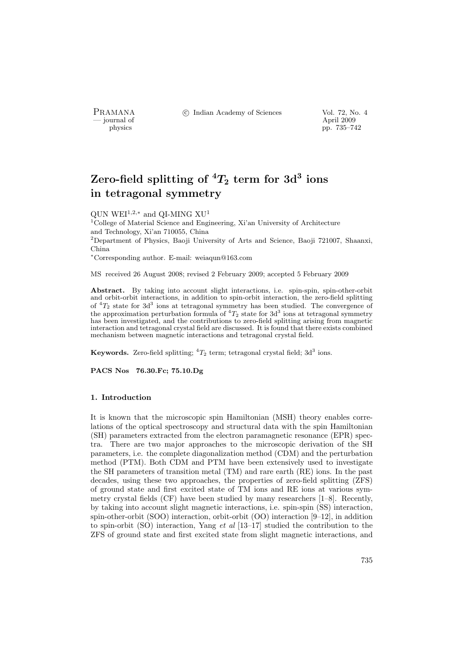- journal of<br>physics

PRAMANA <sup>©</sup>© Indian Academy of Sciences Vol. 72, No. 4

pp. 735–742

# Zero-field splitting of  ${}^4T_2$  term for  $3\mathrm{d}^3$  ions in tetragonal symmetry

QUN WEI<sup>1,2,\*</sup> and QI-MING  $XU<sup>1</sup>$ 

<sup>1</sup>College of Material Science and Engineering, Xi'an University of Architecture and Technology, Xi'an 710055, China <sup>2</sup>Department of Physics, Baoji University of Arts and Science, Baoji 721007, Shaanxi, China <sup>∗</sup>Corresponding author. E-mail: weiaqun@163.com

MS received 26 August 2008; revised 2 February 2009; accepted 5 February 2009

Abstract. By taking into account slight interactions, i.e. spin-spin, spin-other-orbit and orbit-orbit interactions, in addition to spin-orbit interaction, the zero-field splitting of  ${}^{4}T_{2}$  state for 3d<sup>3</sup> ions at tetragonal symmetry has been studied. The convergence of the approximation perturbation formula of  ${}^{4}T_{2}$  state for 3d<sup>3</sup> ions at tetragonal symmetry has been investigated, and the contributions to zero-field splitting arising from magnetic interaction and tetragonal crystal field are discussed. It is found that there exists combined mechanism between magnetic interactions and tetragonal crystal field.

Keywords. Zero-field splitting;  ${}^4T_2$  term; tetragonal crystal field; 3d<sup>3</sup> ions.

PACS Nos 76.30.Fc; 75.10.Dg

#### 1. Introduction

It is known that the microscopic spin Hamiltonian (MSH) theory enables correlations of the optical spectroscopy and structural data with the spin Hamiltonian (SH) parameters extracted from the electron paramagnetic resonance (EPR) spectra. There are two major approaches to the microscopic derivation of the SH parameters, i.e. the complete diagonalization method (CDM) and the perturbation method (PTM). Both CDM and PTM have been extensively used to investigate the SH parameters of transition metal (TM) and rare earth (RE) ions. In the past decades, using these two approaches, the properties of zero-field splitting (ZFS) of ground state and first excited state of TM ions and RE ions at various symmetry crystal fields (CF) have been studied by many researchers [1–8]. Recently, by taking into account slight magnetic interactions, i.e. spin-spin (SS) interaction, spin-other-orbit (SOO) interaction, orbit-orbit (OO) interaction [9–12], in addition to spin-orbit (SO) interaction, Yang et al [13–17] studied the contribution to the ZFS of ground state and first excited state from slight magnetic interactions, and

735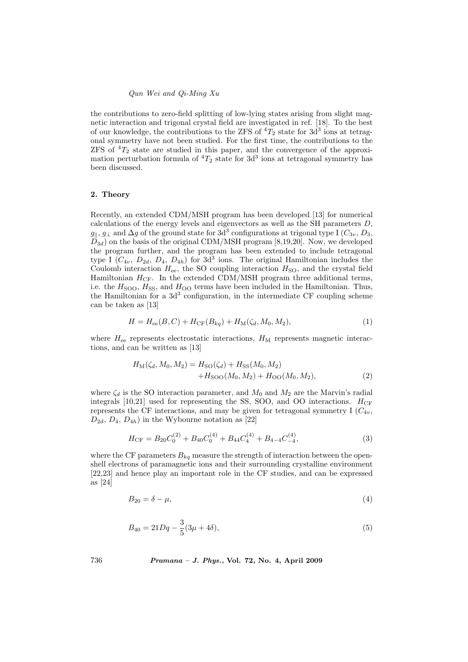the contributions to zero-field splitting of low-lying states arising from slight magnetic interaction and trigonal crystal field are investigated in ref. [18]. To the best of our knowledge, the contributions to the ZFS of  ${}^{4}T_{2}$  state for  $3d^{3}$  ions at tetragonal symmetry have not been studied. For the first time, the contributions to the  $ZFS$  of  ${}^{4}T_2$  state are studied in this paper, and the convergence of the approximation perturbation formula of  ${}^{4}T_{2}$  state for  $3d^{3}$  ions at tetragonal symmetry has been discussed.

### 2. Theory

Recently, an extended CDM/MSH program has been developed [13] for numerical calculations of the energy levels and eigenvectors as well as the SH parameters D,  $g_{\parallel}, g_{\perp}$  and  $\Delta g$  of the ground state for  $3\overline{d}^3$  configurations at trigonal type I  $(C_{3v}, D_3, D_4)$  $D_{3d}$ ) on the basis of the original CDM/MSH program [8,19,20]. Now, we developed the program further, and the program has been extended to include tetragonal type I  $(C_{4v}, D_{2d}, D_4, D_{4h})$  for  $3d^3$  ions. The original Hamiltonian includes the Coulomb interaction  $H_{ee}$ , the SO coupling interaction  $H_{SO}$ , and the crystal field Hamiltonian  $H_{CF}$ . In the extended CDM/MSH program three additional terms, i.e. the  $H<sub>SOO</sub>$ ,  $H<sub>SS</sub>$ , and  $H<sub>OO</sub>$  terms have been included in the Hamiltonian. Thus, the Hamiltonian for a  $3d<sup>3</sup>$  configuration, in the intermediate CF coupling scheme can be taken as [13]

$$
H = H_{ee}(B, C) + H_{CF}(B_{kq}) + H_{M}(\zeta_d, M_0, M_2),
$$
\n(1)

where  $H_{ee}$  represents electrostatic interactions,  $H_M$  represents magnetic interactions, and can be written as [13]

$$
H_{\rm M}(\zeta_d, M_0, M_2) = H_{\rm SO}(\zeta_d) + H_{\rm SS}(M_0, M_2) + H_{\rm SOO}(M_0, M_2) + H_{\rm OO}(M_0, M_2),
$$
\n(2)

where  $\zeta_d$  is the SO interaction parameter, and  $M_0$  and  $M_2$  are the Marvin's radial integrals [10,21] used for representing the SS, SOO, and OO interactions.  $H_{CF}$ represents the CF interactions, and may be given for tetragonal symmetry I  $(C_{4v}$ ,  $D_{2d}, D_4, D_{4h}$  in the Wybourne notation as [22]

$$
H_{\rm CF} = B_{20}C_0^{(2)} + B_{40}C_0^{(4)} + B_{44}C_4^{(4)} + B_{4-4}C_{-4}^{(4)},\tag{3}
$$

where the CF parameters  $B_{kq}$  measure the strength of interaction between the openshell electrons of paramagnetic ions and their surrounding crystalline environment [22,23] and hence play an important role in the CF studies, and can be expressed as [24]

$$
B_{20} = \delta - \mu,\tag{4}
$$

$$
B_{40} = 21Dq - \frac{3}{5}(3\mu + 4\delta),\tag{5}
$$

736 Pramana – J. Phys., Vol. 72, No. 4, April 2009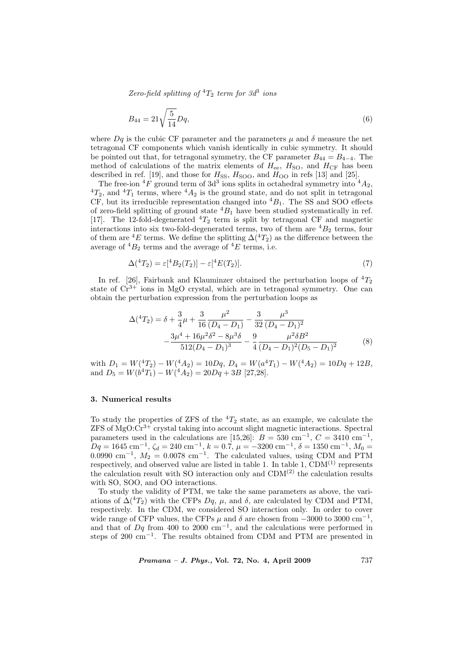Zero-field splitting of  ${}^4T_2$  term for  $3d^3$  ions

$$
B_{44} = 21\sqrt{\frac{5}{14}}Dq,\t\t(6)
$$

where  $Dq$  is the cubic CF parameter and the parameters  $\mu$  and  $\delta$  measure the net tetragonal CF components which vanish identically in cubic symmetry. It should be pointed out that, for tetragonal symmetry, the CF parameter  $B_{44} = B_{4-4}$ . The method of calculations of the matrix elements of  $H_{ee}$ ,  $H_{SO}$ , and  $H_{CF}$  has been described in ref. [19], and those for  $H_{SS}$ ,  $H_{SOO}$ , and  $H_{OO}$  in refs [13] and [25].

The free-ion  ${}^{4}F$  ground term of 3d<sup>3</sup> ions splits in octahedral symmetry into  ${}^{4}A_2$ ,  ${}^{4}T_2$ , and  ${}^{4}T_1$  terms, where  ${}^{4}A_2$  is the ground state, and do not split in tetragonal CF, but its irreducible representation changed into  ${}^{4}B_1$ . The SS and SOO effects of zero-field splitting of ground state  ${}^4B_1$  have been studied systematically in ref. [17]. The 12-fold-degenerated  ${}^{4}T_{2}$  term is split by tetragonal CF and magnetic interactions into six two-fold-degenerated terms, two of them are  ${}^{4}B_2$  terms, four of them are <sup>4</sup>E terms. We define the splitting  $\Delta(^{4}T_{2})$  as the difference between the average of  ${}^4B_2$  terms and the average of  ${}^4E$  terms, i.e.

$$
\Delta({}^4T_2) = \varepsilon[{}^4B_2(T_2)] - \varepsilon[{}^4E(T_2)].\tag{7}
$$

In ref. [26], Fairbank and Klauminzer obtained the perturbation loops of  ${}^{4}T_{2}$ state of  $Cr^{3+}$  ions in MgO crystal, which are in tetragonal symmetry. One can obtain the perturbation expression from the perturbation loops as

$$
\Delta({}^{4}T_{2}) = \delta + \frac{3}{4}\mu + \frac{3}{16}\frac{\mu^{2}}{(D_{4} - D_{1})} - \frac{3}{32}\frac{\mu^{3}}{(D_{4} - D_{1})^{2}}
$$

$$
- \frac{3\mu^{4} + 16\mu^{2}\delta^{2} - 8\mu^{3}\delta}{512(D_{4} - D_{1})^{3}} - \frac{9}{4}\frac{\mu^{2}\delta B^{2}}{(D_{4} - D_{1})^{2}(D_{5} - D_{1})^{2}} \tag{8}
$$

with  $D_1 = W(^{4}T_2) - W(^{4}A_2) = 10Dq$ ,  $D_4 = W(a^{4}T_1) - W(^{4}A_2) = 10Dq + 12B$ , and  $D_5 = W(b^4T_1) - W(4A_2) = 20Dq + 3B$  [27,28].

## 3. Numerical results

To study the properties of ZFS of the  ${}^{4}T_2$  state, as an example, we calculate the  $ZFS$  of  $MgO:Cr^{3+}$  crystal taking into account slight magnetic interactions. Spectral parameters used in the calculations are [15,26]:  $B = 530$  cm<sup>-1</sup>,  $C = 3410$  cm<sup>-1</sup>,  $Dq = 1645 \text{ cm}^{-1}, \zeta_d = 240 \text{ cm}^{-1}, k = 0.7, \mu = -3200 \text{ cm}^{-1}, \delta = 1350 \text{ cm}^{-1}, M_0 =$ 0.0990 cm<sup>-1</sup>,  $M_2 = 0.0078$  cm<sup>-1</sup>. The calculated values, using CDM and PTM respectively, and observed value are listed in table 1. In table 1,  $CDM<sup>(1)</sup>$  represents the calculation result with SO interaction only and  $CDM<sup>(2)</sup>$  the calculation results with SO, SOO, and OO interactions.

To study the validity of PTM, we take the same parameters as above, the variations of  $\Delta^{(4)}T_2$ ) with the CFPs  $Dq$ ,  $\mu$ , and  $\delta$ , are calculated by CDM and PTM, respectively. In the CDM, we considered SO interaction only. In order to cover wide range of CFP values, the CFPs  $\mu$  and  $\delta$  are chosen from  $-3000$  to 3000 cm<sup>-1</sup>, and that of  $Dq$  from 400 to 2000 cm<sup>-1</sup>, and the calculations were performed in steps of 200  $\text{cm}^{-1}$ . The results obtained from CDM and PTM are presented in

 $Pramana - J. Phys., Vol. 72, No. 4, April 2009$  (737)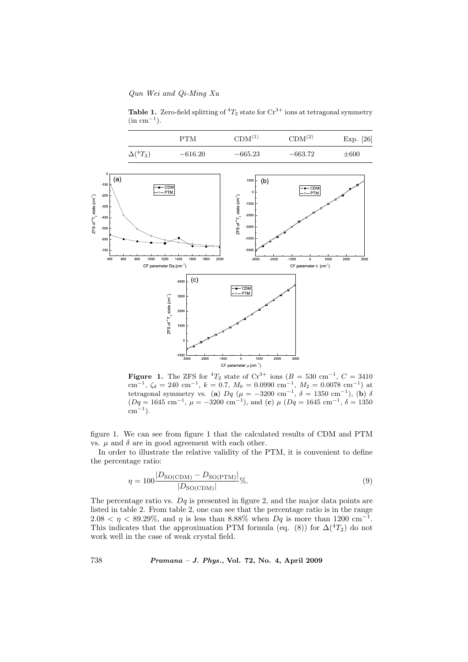Qun Wei and Qi-Ming Xu

Table 1. Zero-field splitting of  ${}^4T_2$  state for  $\text{Cr}^{3+}$  ions at tetragonal symmetry  $(\text{in cm}^{-1})$ .



Figure 1. The ZFS for  ${}^{4}T_{2}$  state of  $\mathrm{Cr}^{3+}$  ions ( $B = 530 \text{ cm}^{-1}$ ,  $C = 3410$  $\text{cm}^{-1}$ ,  $\zeta_d = 240 \text{ cm}^{-1}$ ,  $k = 0.7$ ,  $M_0 = 0.0990 \text{ cm}^{-1}$ ,  $M_2 = 0.0078 \text{ cm}^{-1}$ ) at tetragonal symmetry vs. (a)  $Dq$  ( $\mu = -3200$  cm<sup>-1</sup>,  $\delta = 1350$  cm<sup>-1</sup>), (b)  $\delta$  $(Dq = 1645 \text{ cm}^{-1}, \mu = -3200 \text{ cm}^{-1}), \text{ and } (\mathbf{c}) \mu (Dq = 1645 \text{ cm}^{-1}, \delta = 1350$  $\rm cm^{-1}$ ).

figure 1. We can see from figure 1 that the calculated results of CDM and PTM vs.  $\mu$  and  $\delta$  are in good agreement with each other.

In order to illustrate the relative validity of the PTM, it is convenient to define the percentage ratio:

$$
\eta = 100 \frac{|D_{\text{SO(CDM)}} - D_{\text{SO(PTM)}}|}{|D_{\text{SO(CDM)}}|} \%
$$
\n
$$
(9)
$$

The percentage ratio vs.  $Dq$  is presented in figure 2, and the major data points are listed in table 2. From table 2, one can see that the percentage ratio is in the range  $2.08 < \eta < 89.29\%$ , and  $\eta$  is less than 8.88% when  $Dq$  is more than 1200 cm<sup>-1</sup>. This indicates that the approximation PTM formula (eq. (8)) for  $\Delta({}^4T_2)$  do not work well in the case of weak crystal field.

738 Pramana – J. Phys., Vol. 72, No. 4, April 2009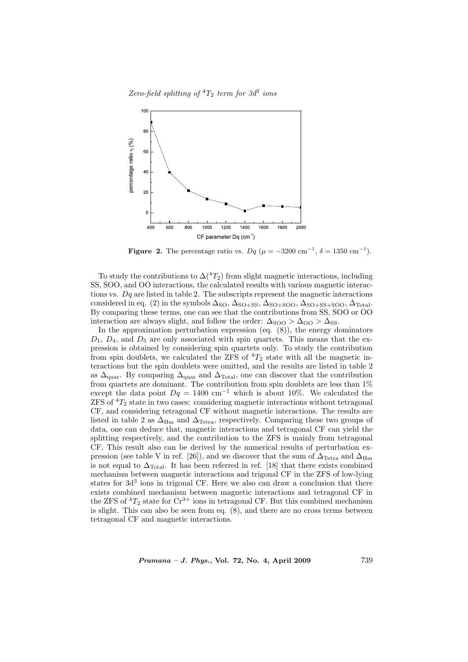Zero-field splitting of  ${}^4T_2$  term for  $3d^3$  ions



Figure 2. The percentage ratio vs.  $Dq$  ( $\mu = -3200 \text{ cm}^{-1}$ ,  $\delta = 1350 \text{ cm}^{-1}$ ).

To study the contributions to  $\Delta$ (<sup>4</sup>T<sub>2</sub>) from slight magnetic interactions, including SS, SOO, and OO interactions, the calculated results with various magnetic interactions vs.  $Dq$  are listed in table 2. The subscripts represent the magnetic interactions considered in eq. (2) in the symbols  $\Delta_{\text{SO}}$ ,  $\Delta_{\text{SO+SS}}$ ,  $\Delta_{\text{SO+SSO}}$ ,  $\Delta_{\text{SO+SS+SOO}}$ ,  $\Delta_{\text{Total}}$ . By comparing these terms, one can see that the contributions from SS, SOO or OO interaction are always slight, and follow the order:  $\Delta_{\rm SOO} > \Delta_{\rm OO} > \Delta_{\rm SS}$ .

In the approximation perturbation expression (eq.  $(8)$ ), the energy dominators  $D_1, D_4$ , and  $D_5$  are only associated with spin quartets. This means that the expression is obtained by considering spin quartets only. To study the contribution from spin doublets, we calculated the ZFS of  ${}^4T_2$  state with all the magnetic interactions but the spin doublets were omitted, and the results are listed in table 2 as  $\Delta_{\rm{quar}}.$  By comparing  $\Delta_{\rm{quar}}$  and  $\Delta_{\rm{Total}},$  one can discover that the contribution from quartets are dominant. The contribution from spin doublets are less than  $1\%$ except the data point  $Dq = 1400 \text{ cm}^{-1}$  which is about 10%. We calculated the  $ZFS$  of  ${}^{4}T_{2}$  state in two cases: considering magnetic interactions without tetragonal CF, and considering tetragonal CF without magnetic interactions. The results are listed in table 2 as  $\Delta_{\text{Hm}}$  and  $\Delta_{\text{Tetra}}$ , respectively. Comparing these two groups of data, one can deduce that, magnetic interactions and tetragonal CF can yield the splitting respectively, and the contribution to the ZFS is mainly from tetragonal CF. This result also can be derived by the numerical results of perturbation expression (see table V in ref. [26]), and we discover that the sum of  $\Delta_{\text{Tetra}}$  and  $\Delta_{\text{Hm}}$ is not equal to  $\Delta_{\text{Total}}$ . It has been referred in ref. [18] that there exists combined mechanism between magnetic interactions and trigonal CF in the ZFS of low-lying states for 3d<sup>3</sup> ions in trigonal CF. Here we also can draw a conclusion that there exists combined mechanism between magnetic interactions and tetragonal CF in the ZFS of  ${}^{4}T_{2}$  state for  $\mathrm{Cr}^{3+}$  ions in tetragonal CF. But this combined mechanism is slight. This can also be seen from eq. (8), and there are no cross terms between tetragonal CF and magnetic interactions.

 $Pramana - J. Phys., Vol. 72, No. 4, April 2009$  (739)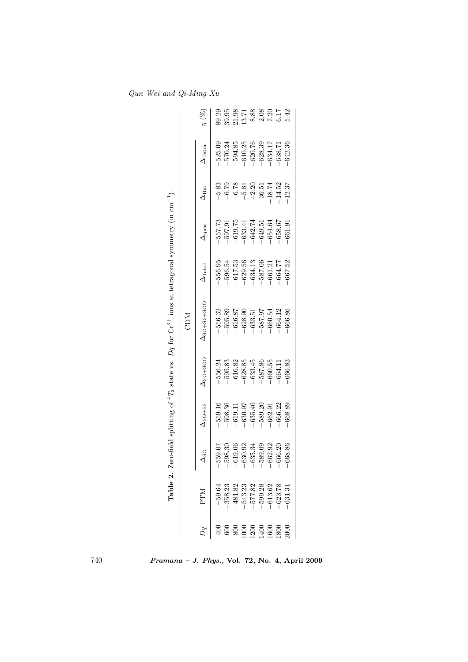|                                                                                                                       |                                 |                                     |                                                                                    | <b>NICD</b>                                                  |                                                               |                                                                                                         |                                                                                                     |                                                                                    |                                                                                                    |
|-----------------------------------------------------------------------------------------------------------------------|---------------------------------|-------------------------------------|------------------------------------------------------------------------------------|--------------------------------------------------------------|---------------------------------------------------------------|---------------------------------------------------------------------------------------------------------|-----------------------------------------------------------------------------------------------------|------------------------------------------------------------------------------------|----------------------------------------------------------------------------------------------------|
| NLH                                                                                                                   | $\overline{\text{S}}$           | $\Delta$ so <sub>+</sub> ss         | $\Delta$ so+soo                                                                    | $\Delta_{\rm SO+SS+SOO}$                                     | $\Delta_{\rm Total}$                                          | $\Delta_{\text{quar}}$                                                                                  | $\Delta_{\text{Hm}}$                                                                                | $\Delta_{\text{Tetra}}$                                                            | $\eta~(\%)$                                                                                        |
|                                                                                                                       | 0.07                            | 559.16                              | -556.24                                                                            | $-556.32$                                                    | $-556.95$                                                     | 557.73                                                                                                  |                                                                                                     | $-525.09$                                                                          |                                                                                                    |
|                                                                                                                       | 0.30                            | $-598.36$                           | 595.83                                                                             | $-595.89$                                                    | $-596.54$                                                     |                                                                                                         | $-5.83$<br>$-6.79$                                                                                  | $-570.24$                                                                          |                                                                                                    |
|                                                                                                                       | 0.06                            |                                     |                                                                                    | $-616.87$                                                    |                                                               |                                                                                                         |                                                                                                     |                                                                                    |                                                                                                    |
|                                                                                                                       |                                 |                                     |                                                                                    |                                                              |                                                               |                                                                                                         |                                                                                                     |                                                                                    |                                                                                                    |
| $\begin{array}{r} -59.64 \\ -358.23 \\ -481.82 \\ -481.33 \\ -543.23 \\ -577.82 \\ -613.62 \\ -623.78 \\ \end{array}$ | $-630.92$<br>$-635.34$<br>$-63$ | $-619.11$<br>$-630.97$<br>$-635.40$ | $\begin{array}{r} -616.82 \\ -628.85 \\ -633.45 \\ -587.86 \\ -660.55 \end{array}$ | $\begin{array}{r} -628.90 \\ -633.51 \\ -587.97 \end{array}$ | $-617.53$<br>$-629.56$<br>$-634.13$<br>$-587.06$<br>$-661.21$ | $\begin{array}{c} 597.91 \\ -619.75 \\ -633.41 \\ -633.74 \\ -642.51 \\ -649.51 \\ -649.64 \end{array}$ | $\begin{array}{r} -6.78 \\ -5.81 \\ -2.20 \\ \hline 36.51 \\ -18.74 \\ \hline 14.52 \\ \end{array}$ | $\begin{array}{r} -594.85 \\ -610.25 \\ -620.76 \\ -628.39 \\ -634.17 \end{array}$ | 39.23<br>39.35 71 73 80 80 71 72<br>39 71 71 80 80 80 71 72 91 91 92<br>50 71 92 93 94 95 96 96 97 |
|                                                                                                                       |                                 | $-589.20$                           |                                                                                    |                                                              |                                                               |                                                                                                         |                                                                                                     |                                                                                    |                                                                                                    |
|                                                                                                                       | $-589.09$<br>$-662.92$          | $-662.91$                           |                                                                                    | $-660.54$                                                    |                                                               |                                                                                                         |                                                                                                     |                                                                                    |                                                                                                    |
|                                                                                                                       | 36.20                           | $-666.22$                           | $-664.11$                                                                          | $-664.12$                                                    | $-664.77$                                                     | $-658.67$                                                                                               |                                                                                                     | $-638.71$                                                                          |                                                                                                    |
|                                                                                                                       | 68.86                           | 668.89                              | $-666.83$                                                                          | 666.86                                                       | $-667.52$                                                     | $-661.91$                                                                                               |                                                                                                     | $-642.36$                                                                          |                                                                                                    |

Qun Wei and Qi-Ming Xu

Pramana – J. Phys., Vol. 72, No. 4, April 2009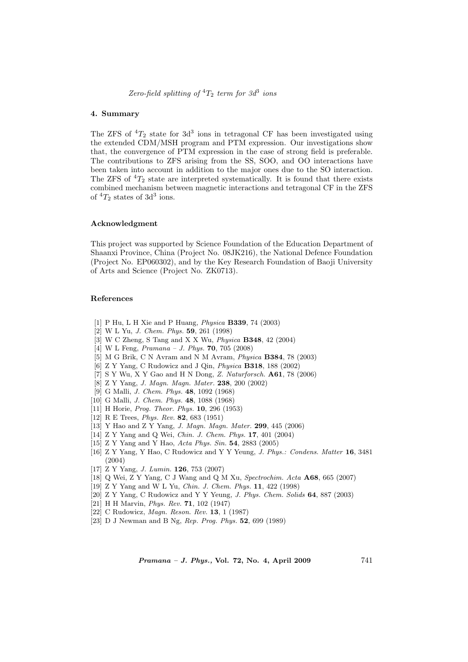Zero-field splitting of  ${}^4T_2$  term for  $3d^3$  ions

#### 4. Summary

The ZFS of  ${}^{4}T_2$  state for  $3d^3$  ions in tetragonal CF has been investigated using the extended CDM/MSH program and PTM expression. Our investigations show that, the convergence of PTM expression in the case of strong field is preferable. The contributions to ZFS arising from the SS, SOO, and OO interactions have been taken into account in addition to the major ones due to the SO interaction. The ZFS of  ${}^{4}T_{2}$  state are interpreted systematically. It is found that there exists combined mechanism between magnetic interactions and tetragonal CF in the ZFS of  ${}^{4}T_2$  states of 3d<sup>3</sup> ions.

#### Acknowledgment

This project was supported by Science Foundation of the Education Department of Shaanxi Province, China (Project No. 08JK216), the National Defence Foundation (Project No. EP060302), and by the Key Research Foundation of Baoji University of Arts and Science (Project No. ZK0713).

#### References

- [1] P Hu, L H Xie and P Huang, Physica B339, 74 (2003)
- [2] W L Yu, J. Chem. Phys. 59, 261 (1998)
- [3] W C Zheng, S Tang and X X Wu, Physica B348, 42 (2004)
- [4] W L Feng, Pramana J. Phys. 70, 705 (2008)
- [5] M G Brik, C N Avram and N M Avram, Physica B384, 78 (2003)
- [6] Z Y Yang, C Rudowicz and J Qin, Physica B318, 188 (2002)
- [7] S Y Wu, X Y Gao and H N Dong, Z. Naturforsch. A61, 78 (2006)
- [8] Z Y Yang, J. Magn. Magn. Mater. 238, 200 (2002)
- [9] G Malli, J. Chem. Phys. 48, 1092 (1968)
- [10] G Malli, J. Chem. Phys. 48, 1088 (1968)
- [11] H Horie, *Prog. Theor. Phys.* **10**, 296 (1953)
- [12] R E Trees, Phys. Rev. 82, 683 (1951)
- [13] Y Hao and Z Y Yang, J. Magn. Magn. Mater. 299, 445 (2006)
- [14] Z Y Yang and Q Wei, Chin. J. Chem. Phys. 17, 401 (2004)
- [15] Z Y Yang and Y Hao, Acta Phys. Sin. **54**, 2883 (2005)
- [16] Z Y Yang, Y Hao, C Rudowicz and Y Y Yeung, J. Phys.: Condens. Matter 16, 3481 (2004)
- [17] Z Y Yang, J. Lumin. 126, 753 (2007)
- [18] Q Wei, Z Y Yang, C J Wang and Q M Xu, Spectrochim. Acta A68, 665 (2007)
- [19] Z Y Yang and W L Yu, Chin. J. Chem. Phys. 11, 422 (1998)
- [20] Z Y Yang, C Rudowicz and Y Y Yeung, J. Phys. Chem. Solids 64, 887 (2003)
- [21] H H Marvin, Phys. Rev. 71, 102 (1947)
- [22] C Rudowicz, Magn. Reson. Rev. 13, 1 (1987)
- [23] D J Newman and B Ng, Rep. Prog. Phys. 52, 699 (1989)

 $Pramana - J. Phys., Vol. 72, No. 4, April 2009$  741